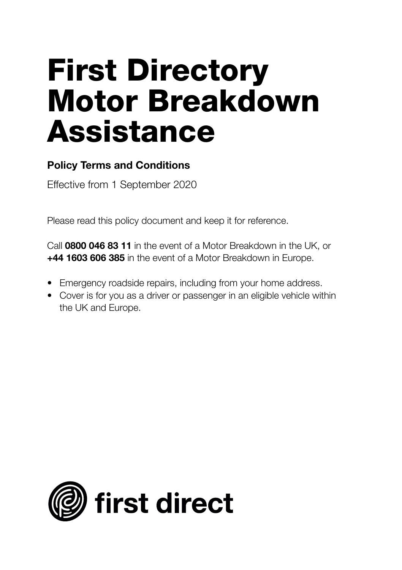# **First Directory Motor Breakdown Assistance**

## **Policy Terms and Conditions**

Effective from 1 September 2020

Please read this policy document and keep it for reference.

Call **0800 046 83 11** in the event of a Motor Breakdown in the UK, or **+44 1603 606 385** in the event of a Motor Breakdown in Europe.

- Emergency roadside repairs, including from your home address.
- Cover is for you as a driver or passenger in an eligible vehicle within the UK and Europe.

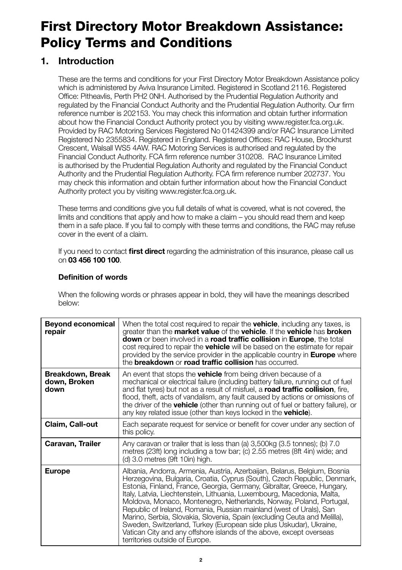## **First Directory Motor Breakdown Assistance: Policy Terms and Conditions**

## **1. Introduction**

 These are the terms and conditions for your First Directory Motor Breakdown Assistance policy which is administered by Aviva Insurance Limited. Registered in Scotland 2116. Registered Office: Pitheavlis, Perth PH2 0NH. Authorised by the Prudential Regulation Authority and regulated by the Financial Conduct Authority and the Prudential Regulation Authority. Our firm reference number is 202153. You may check this information and obtain further information about how the Financial Conduct Authority protect you by visiting www.register.fca.org.uk. Provided by RAC Motoring Services Registered No 01424399 and/or RAC Insurance Limited Registered No 2355834. Registered in England. Registered Offices: RAC House, Brockhurst Crescent, Walsall WS5 4AW. RAC Motoring Services is authorised and regulated by the Financial Conduct Authority. FCA firm reference number 310208. RAC Insurance Limited is authorised by the Prudential Regulation Authority and regulated by the Financial Conduct Authority and the Prudential Regulation Authority. FCA firm reference number 202737. You may check this information and obtain further information about how the Financial Conduct Authority protect you by visiting www.register.fca.org.uk.

 These terms and conditions give you full details of what is covered, what is not covered, the limits and conditions that apply and how to make a claim – you should read them and keep them in a safe place. If you fail to comply with these terms and conditions, the RAC may refuse cover in the event of a claim.

 If you need to contact **first direct** regarding the administration of this insurance, please call us on **03 456 100 100**.

#### **Definition of words**

 When the following words or phrases appear in bold, they will have the meanings described below:

| <b>Beyond economical</b><br>repair       | When the total cost required to repair the <b>vehicle</b> , including any taxes, is<br>greater than the <b>market value</b> of the <b>vehicle</b> . If the <b>vehicle</b> has <b>broken</b><br><b>down</b> or been involved in a <b>road traffic collision</b> in <b>Europe</b> , the total<br>cost required to repair the <b>vehicle</b> will be based on the estimate for repair<br>provided by the service provider in the applicable country in <b>Europe</b> where<br>the <b>breakdown</b> or <b>road traffic collision</b> has occurred.                                                                                                                                                                     |
|------------------------------------------|--------------------------------------------------------------------------------------------------------------------------------------------------------------------------------------------------------------------------------------------------------------------------------------------------------------------------------------------------------------------------------------------------------------------------------------------------------------------------------------------------------------------------------------------------------------------------------------------------------------------------------------------------------------------------------------------------------------------|
| Breakdown, Break<br>down, Broken<br>down | An event that stops the <b>vehicle</b> from being driven because of a<br>mechanical or electrical failure (including battery failure, running out of fuel<br>and flat tyres) but not as a result of misfuel, a <b>road traffic collision</b> , fire,<br>flood, theft, acts of vandalism, any fault caused by actions or omissions of<br>the driver of the <b>vehicle</b> (other than running out of fuel or battery failure), or<br>any key related issue (other than keys locked in the <b>vehicle</b> ).                                                                                                                                                                                                         |
| Claim, Call-out                          | Each separate request for service or benefit for cover under any section of<br>this policy.                                                                                                                                                                                                                                                                                                                                                                                                                                                                                                                                                                                                                        |
| Caravan, Trailer                         | Any caravan or trailer that is less than (a) 3,500kg (3.5 tonnes); (b) 7.0<br>metres (23ft) long including a tow bar; (c) 2.55 metres (8ft 4in) wide; and<br>(d) 3.0 metres (9ft 10in) high.                                                                                                                                                                                                                                                                                                                                                                                                                                                                                                                       |
| <b>Europe</b>                            | Albania, Andorra, Armenia, Austria, Azerbaijan, Belarus, Belgium, Bosnia<br>Herzegovina, Bulgaria, Croatia, Cyprus (South), Czech Republic, Denmark,<br>Estonia, Finland, France, Georgia, Germany, Gibraltar, Greece, Hungary,<br>Italy, Latvia, Liechtenstein, Lithuania, Luxembourg, Macedonia, Malta,<br>Moldova, Monaco, Montenegro, Netherlands, Norway, Poland, Portugal,<br>Republic of Ireland, Romania, Russian mainland (west of Urals), San<br>Marino, Serbia, Slovakia, Slovenia, Spain (excluding Ceuta and Melilla),<br>Sweden, Switzerland, Turkey (European side plus Uskudar), Ukraine,<br>Vatican City and any offshore islands of the above, except overseas<br>territories outside of Europe. |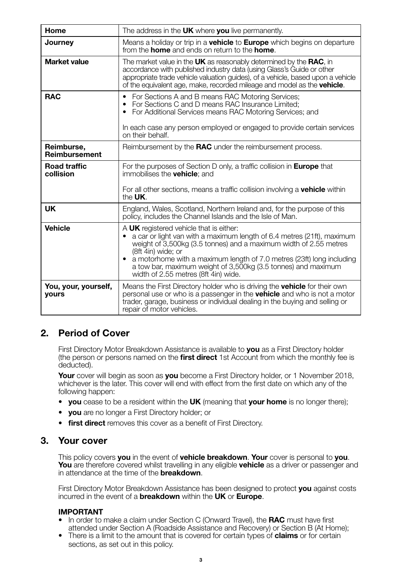| Home                                 | The address in the UK where you live permanently.                                                                                                                                                                                                                                                                                                                                                |
|--------------------------------------|--------------------------------------------------------------------------------------------------------------------------------------------------------------------------------------------------------------------------------------------------------------------------------------------------------------------------------------------------------------------------------------------------|
| Journey                              | Means a holiday or trip in a <b>vehicle</b> to <b>Europe</b> which begins on departure<br>from the <b>home</b> and ends on return to the <b>home</b> .                                                                                                                                                                                                                                           |
| Market value                         | The market value in the UK as reasonably determined by the RAC, in<br>accordance with published industry data (using Glass's Guide or other<br>appropriate trade vehicle valuation quides), of a vehicle, based upon a vehicle<br>of the equivalent age, make, recorded mileage and model as the <b>vehicle</b> .                                                                                |
| <b>RAC</b>                           | For Sections A and B means RAC Motoring Services;<br>$\bullet$<br>• For Sections C and D means RAC Insurance Limited:<br>• For Additional Services means RAC Motoring Services; and                                                                                                                                                                                                              |
|                                      | In each case any person employed or engaged to provide certain services<br>on their behalf.                                                                                                                                                                                                                                                                                                      |
| Reimburse,<br>Reimbursement          | Reimbursement by the RAC under the reimbursement process.                                                                                                                                                                                                                                                                                                                                        |
| <b>Road traffic</b><br>collision     | For the purposes of Section D only, a traffic collision in Europe that<br>immobilises the <b>vehicle</b> ; and                                                                                                                                                                                                                                                                                   |
|                                      | For all other sections, means a traffic collision involving a <b>vehicle</b> within<br>the UK.                                                                                                                                                                                                                                                                                                   |
| UK                                   | England, Wales, Scotland, Northern Ireland and, for the purpose of this<br>policy, includes the Channel Islands and the Isle of Man.                                                                                                                                                                                                                                                             |
| Vehicle                              | A UK registered vehicle that is either:<br>a car or light van with a maximum length of 6.4 metres (21ft), maximum<br>weight of 3,500kg (3.5 tonnes) and a maximum width of 2.55 metres<br>(8ft 4in) wide; or<br>• a motorhome with a maximum length of 7.0 metres (23ft) long including<br>a tow bar, maximum weight of 3,500kg (3.5 tonnes) and maximum<br>width of 2.55 metres (8ft 4in) wide. |
| You, your, yourself,<br><b>yours</b> | Means the First Directory holder who is driving the <b>vehicle</b> for their own<br>personal use or who is a passenger in the vehicle and who is not a motor<br>trader, garage, business or individual dealing in the buying and selling or<br>repair of motor vehicles.                                                                                                                         |

## **2. Period of Cover**

 First Directory Motor Breakdown Assistance is available to **you** as a First Directory holder (the person or persons named on the **first direct** 1st Account from which the monthly fee is deducted).

**Your** cover will begin as soon as **you** become a First Directory holder, or 1 November 2018, whichever is the later. This cover will end with effect from the first date on which any of the following happen:

- **you** cease to be a resident within the **UK** (meaning that **your home** is no longer there);
- **you** are no longer a First Directory holder; or
- **first direct** removes this cover as a benefit of First Directory.

## **3. Your cover**

 This policy covers **you** in the event of **vehicle breakdown**. **Your** cover is personal to **you**. **You** are therefore covered whilst travelling in any eligible **vehicle** as a driver or passenger and in attendance at the time of the **breakdown**.

 First Directory Motor Breakdown Assistance has been designed to protect **you** against costs incurred in the event of a **breakdown** within the **UK** or **Europe**.

#### **IMPORTANT**

- In order to make a claim under Section C (Onward Travel), the **RAC** must have first attended under Section A (Roadside Assistance and Recovery) or Section B (At Home);
- There is a limit to the amount that is covered for certain types of **claims** or for certain sections, as set out in this policy.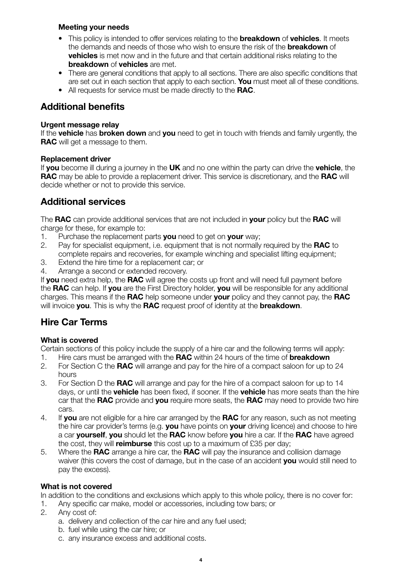#### **Meeting your needs**

- This policy is intended to offer services relating to the **breakdown** of **vehicles**. It meets the demands and needs of those who wish to ensure the risk of the **breakdown** of **vehicles** is met now and in the future and that certain additional risks relating to the **breakdown** of **vehicles** are met.
- There are general conditions that apply to all sections. There are also specific conditions that are set out in each section that apply to each section. **You** must meet all of these conditions.
- All requests for service must be made directly to the **RAC**.

## **Additional benefits**

#### **Urgent message relay**

If the **vehicle** has **broken down** and **you** need to get in touch with friends and family urgently, the **RAC** will get a message to them.

#### **Replacement driver**

If **you** become ill during a journey in the **UK** and no one within the party can drive the **vehicle**, the **RAC** may be able to provide a replacement driver. This service is discretionary, and the **RAC** will decide whether or not to provide this service.

## **Additional services**

The **RAC** can provide additional services that are not included in **your** policy but the **RAC** will charge for these, for example to:

- 1. Purchase the replacement parts **you** need to get on **your** way;
- 2. Pay for specialist equipment, i.e. equipment that is not normally required by the **RAC** to complete repairs and recoveries, for example winching and specialist lifting equipment;
- 3. Extend the hire time for a replacement car; or<br>4. Arrange a second or extended recovery
- Arrange a second or extended recovery.

If **you** need extra help, the **RAC** will agree the costs up front and will need full payment before the **RAC** can help. If **you** are the First Directory holder, **you** will be responsible for any additional charges. This means if the **RAC** help someone under **your** policy and they cannot pay, the **RAC** will invoice **you**. This is why the **RAC** request proof of identity at the **breakdown**.

## **Hire Car Terms**

#### **What is covered**

Certain sections of this policy include the supply of a hire car and the following terms will apply:<br>1. Hire cars must be arranged with the **RAC** within 24 hours of the time of **breakdown** 

- 1. Hire cars must be arranged with the **RAC** within 24 hours of the time of **breakdown**
- 2. For Section C the **RAC** will arrange and pay for the hire of a compact saloon for up to 24 hours
- 3. For Section D the **RAC** will arrange and pay for the hire of a compact saloon for up to 14 days, or until the **vehicle** has been fixed, if sooner. If the **vehicle** has more seats than the hire car that the **RAC** provide and **you** require more seats, the **RAC** may need to provide two hire cars.
- 4. If **you** are not eligible for a hire car arranged by the **RAC** for any reason, such as not meeting the hire car provider's terms (e.g. **you** have points on **your** driving licence) and choose to hire a car **yourself**, **you** should let the **RAC** know before **you** hire a car. If the **RAC** have agreed the cost, they will **reimburse** this cost up to a maximum of £35 per day;
- 5. Where the **RAC** arrange a hire car, the **RAC** will pay the insurance and collision damage waiver (this covers the cost of damage, but in the case of an accident **you** would still need to pay the excess).

#### **What is not covered**

In addition to the conditions and exclusions which apply to this whole policy, there is no cover for:

- 1. Any specific car make, model or accessories, including tow bars; or <br>2. Any cost of:
- Any cost of:
	- a. delivery and collection of the car hire and any fuel used;
	- b. fuel while using the car hire; or
	- c. any insurance excess and additional costs.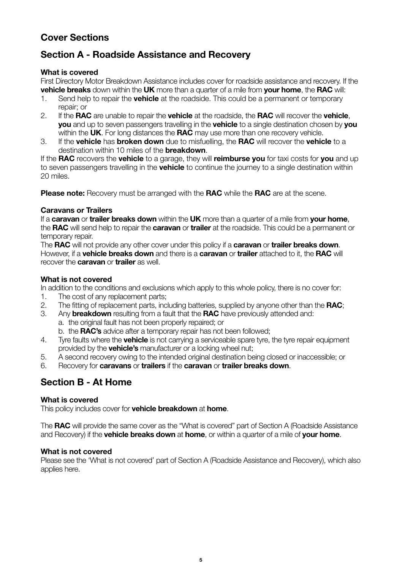## **Cover Sections**

## **Section A - Roadside Assistance and Recovery**

#### **What is covered**

First Directory Motor Breakdown Assistance includes cover for roadside assistance and recovery. If the **vehicle breaks** down within the **UK** more than a quarter of a mile from **your home**, the **RAC** will:

- 1. Send help to repair the **vehicle** at the roadside. This could be a permanent or temporary repair; or
- 2. If the **RAC** are unable to repair the **vehicle** at the roadside, the **RAC** will recover the **vehicle**, **you** and up to seven passengers travelling in the **vehicle** to a single destination chosen by **you** within the **UK**. For long distances the **RAC** may use more than one recovery vehicle.
- 3. If the **vehicle** has **broken down** due to misfuelling, the **RAC** will recover the **vehicle** to a destination within 10 miles of the **breakdown**.

If the **RAC** recovers the **vehicle** to a garage, they will **reimburse you** for taxi costs for **you** and up to seven passengers travelling in the **vehicle** to continue the journey to a single destination within 20 miles.

**Please note:** Recovery must be arranged with the **RAC** while the **RAC** are at the scene.

#### **Caravans or Trailers**

If a **caravan** or **trailer breaks down** within the **UK** more than a quarter of a mile from **your home**, the **RAC** will send help to repair the **caravan** or **trailer** at the roadside. This could be a permanent or temporary repair.

The **RAC** will not provide any other cover under this policy if a **caravan** or **trailer breaks down**. However, if a **vehicle breaks down** and there is a **caravan** or **trailer** attached to it, the **RAC** will recover the **caravan** or **trailer** as well.

#### **What is not covered**

In addition to the conditions and exclusions which apply to this whole policy, there is no cover for:

- 1. The cost of any replacement parts;
- 2. The fitting of replacement parts, including batteries, supplied by anyone other than the **RAC**;
- 3. Any **breakdown** resulting from a fault that the **RAC** have previously attended and: a. the original fault has not been properly repaired; or

b. the **RAC's** advice after a temporary repair has not been followed;

- 4. Tyre faults where the **vehicle** is not carrying a serviceable spare tyre, the tyre repair equipment provided by the **vehicle's** manufacturer or a locking wheel nut;
- 5. A second recovery owing to the intended original destination being closed or inaccessible; or<br>6. Becovery for **caravans** or **trailers** if the **caravan** or **trailer breaks down**
- 6. Recovery for **caravans** or **trailers** if the **caravan** or **trailer breaks down**.

## **Section B - At Home**

#### **What is covered**

This policy includes cover for **vehicle breakdown** at **home**.

The **RAC** will provide the same cover as the "What is covered" part of Section A (Roadside Assistance and Recovery) if the **vehicle breaks down** at **home**, or within a quarter of a mile of **your home**.

#### **What is not covered**

Please see the 'What is not covered' part of Section A (Roadside Assistance and Recovery), which also applies here.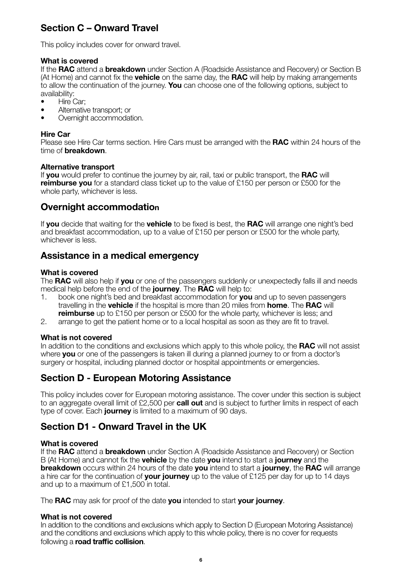## **Section C – Onward Travel**

This policy includes cover for onward travel.

#### **What is covered**

If the **RAC** attend a **breakdown** under Section A (Roadside Assistance and Recovery) or Section B (At Home) and cannot fix the **vehicle** on the same day, the **RAC** will help by making arrangements to allow the continuation of the journey. **You** can choose one of the following options, subject to availability:

- Hire Car;
- Alternative transport; or
- Overnight accommodation.

#### **Hire Car**

Please see Hire Car terms section. Hire Cars must be arranged with the **RAC** within 24 hours of the time of **breakdown**.

#### **Alternative transport**

If **you** would prefer to continue the journey by air, rail, taxi or public transport, the **RAC** will **reimburse you** for a standard class ticket up to the value of £150 per person or £500 for the whole party, whichever is less.

## **Overnight accommodation**

If **you** decide that waiting for the **vehicle** to be fixed is best, the **RAC** will arrange one night's bed and breakfast accommodation, up to a value of £150 per person or £500 for the whole party, whichever is less.

#### **Assistance in a medical emergency**

#### **What is covered**

The **RAC** will also help if **you** or one of the passengers suddenly or unexpectedly falls ill and needs medical help before the end of the **journey**. The **RAC** will help to:<br>1. book one night's bed and breakfast accommodation for you

- 1. book one night's bed and breakfast accommodation for **you** and up to seven passengers travelling in the **vehicle** if the hospital is more than 20 miles from **home**. The **RAC** will **reimburse** up to £150 per person or £500 for the whole party, whichever is less; and
- 2. arrange to get the patient home or to a local hospital as soon as they are fit to travel.

#### **What is not covered**

In addition to the conditions and exclusions which apply to this whole policy, the **RAC** will not assist where **you** or one of the passengers is taken ill during a planned journey to or from a doctor's surgery or hospital, including planned doctor or hospital appointments or emergencies.

## **Section D - European Motoring Assistance**

This policy includes cover for European motoring assistance. The cover under this section is subject to an aggregate overall limit of £2,500 per **call out** and is subject to further limits in respect of each type of cover. Each **journey** is limited to a maximum of 90 days.

## **Section D1 - Onward Travel in the UK**

#### **What is covered**

If the **RAC** attend a **breakdown** under Section A (Roadside Assistance and Recovery) or Section B (At Home) and cannot fix the **vehicle** by the date **you** intend to start a **journey** and the **breakdown** occurs within 24 hours of the date **you** intend to start a **journey**, the **RAC** will arrange a hire car for the continuation of **your journey** up to the value of £125 per day for up to 14 days and up to a maximum of £1,500 in total.

The **RAC** may ask for proof of the date **you** intended to start **your journey**.

#### **What is not covered**

In addition to the conditions and exclusions which apply to Section D (European Motoring Assistance) and the conditions and exclusions which apply to this whole policy, there is no cover for requests following a **road traffic collision**.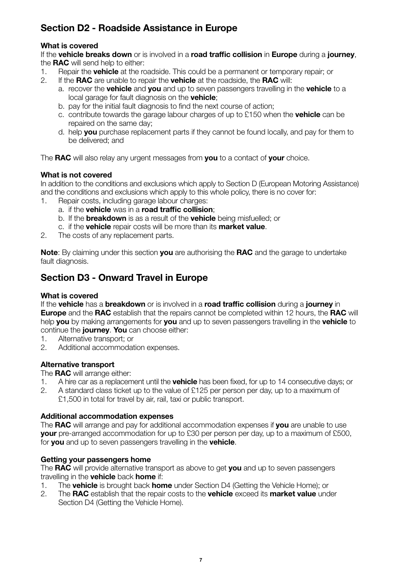## **Section D2 - Roadside Assistance in Europe**

#### **What is covered**

If the **vehicle breaks down** or is involved in a **road traffic collision** in **Europe** during a **journey**, the **RAC** will send help to either:<br>1. Benair the **vehicle** at the ro

- 1. Repair the **vehicle** at the roadside. This could be a permanent or temporary repair; or <br>2. If the **RAC** are unable to repair the **vehicle** at the roadside, the **RAC** will:
	- 2. If the **RAC** are unable to repair the **vehicle** at the roadside, the **RAC** will:
		- a. recover the **vehicle** and **you** and up to seven passengers travelling in the **vehicle** to a local garage for fault diagnosis on the **vehicle**;
		- b. pay for the initial fault diagnosis to find the next course of action;
		- c. contribute towards the garage labour charges of up to £150 when the **vehicle** can be repaired on the same day;
		- d. help **you** purchase replacement parts if they cannot be found locally, and pay for them to be delivered; and

The **RAC** will also relay any urgent messages from **you** to a contact of **your** choice.

#### **What is not covered**

In addition to the conditions and exclusions which apply to Section D (European Motoring Assistance) and the conditions and exclusions which apply to this whole policy, there is no cover for:

- 1. Repair costs, including garage labour charges:
	- a. if the **vehicle** was in a **road traffic collision**;
	- b. If the **breakdown** is as a result of the **vehicle** being misfuelled; or
	- c. if the **vehicle** repair costs will be more than its **market value**.
- 2. The costs of any replacement parts.

**Note**: By claiming under this section **you** are authorising the **RAC** and the garage to undertake fault diagnosis.

## **Section D3 - Onward Travel in Europe**

#### **What is covered**

If the **vehicle** has a **breakdown** or is involved in a **road traffic collision** during a **journey** in **Europe** and the **RAC** establish that the repairs cannot be completed within 12 hours, the **RAC** will help **you** by making arrangements for **you** and up to seven passengers travelling in the **vehicle** to continue the **journey**. **You** can choose either:

- 1. Alternative transport; or
- 2. Additional accommodation expenses.

#### **Alternative transport**

The **RAC** will arrange either:

- 1. A hire car as a replacement until the **vehicle** has been fixed, for up to 14 consecutive days; or
- 2. A standard class ticket up to the value of £125 per person per day, up to a maximum of £1,500 in total for travel by air, rail, taxi or public transport.

#### **Additional accommodation expenses**

The **RAC** will arrange and pay for additional accommodation expenses if **you** are unable to use **your** pre-arranged accommodation for up to £30 per person per day, up to a maximum of £500, for **you** and up to seven passengers travelling in the **vehicle**.

#### **Getting your passengers home**

The **RAC** will provide alternative transport as above to get **you** and up to seven passengers

- travelling in the **vehicle** back **home** if: 1. The **vehicle** is brought back **home** under Section D4 (Getting the Vehicle Home); or
- 2. The **RAC** establish that the repair costs to the **vehicle** exceed its **market value** under Section D4 (Getting the Vehicle Home).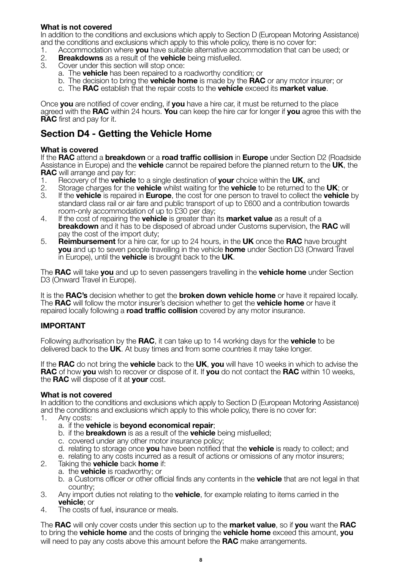#### **What is not covered**

In addition to the conditions and exclusions which apply to Section D (European Motoring Assistance) and the conditions and exclusions which apply to this whole policy, there is no cover for:<br>1. Accommodation where **vou** have suitable alternative accommodation that can b

- 1. Accommodation where **you** have suitable alternative accommodation that can be used; or
- 2. **Breakdowns** as a result of the **vehicle** being misfuelled.
- Cover under this section will stop once:
	- a. The **vehicle** has been repaired to a roadworthy condition; or
	- b. The decision to bring the **vehicle home** is made by the **RAC** or any motor insurer; or
	- c. The **RAC** establish that the repair costs to the **vehicle** exceed its **market value**.

Once **you** are notified of cover ending, if **you** have a hire car, it must be returned to the place agreed with the **RAC** within 24 hours. **You** can keep the hire car for longer if **you** agree this with the **RAC** first and pay for it.

## **Section D4 - Getting the Vehicle Home**

#### **What is covered**

If the **RAC** attend a **breakdown** or a **road traffic collision** in **Europe** under Section D2 (Roadside Assistance in Europe) and the **vehicle** cannot be repaired before the planned return to the **UK**, the **RAC** will arrange and pay for:<br>1. Recovery of the **vehicle** 

- 1. Recovery of the **vehicle** to a single destination of **your** choice within the **UK**, and
- 2. Storage charges for the **vehicle** whilst waiting for the **vehicle** to be returned to the **UK**; or
- 3. If the **vehicle** is repaired in **Europe**, the cost for one person to travel to collect the **vehicle** by standard class rail or air fare and public transport of up to £600 and a contribution towards room-only accommodation of up to £30 per day;
- 4. If the cost of repairing the **vehicle** is greater than its **market value** as a result of a **breakdown** and it has to be disposed of abroad under Customs supervision, the **RAC** will pay the cost of the import duty;
- 5. **Reimbursement** for a hire car, for up to 24 hours, in the **UK** once the **RAC** have brought **you** and up to seven people travelling in the vehicle **home** under Section D3 (Onward Travel in Europe), until the **vehicle** is brought back to the **UK**.

The **RAC** will take **you** and up to seven passengers travelling in the **vehicle home** under Section D3 (Onward Travel in Europe).

It is the **RAC's** decision whether to get the **broken down vehicle home** or have it repaired locally. The **RAC** will follow the motor insurer's decision whether to get the **vehicle home** or have it repaired locally following a **road traffic collision** covered by any motor insurance.

#### **IMPORTANT**

Following authorisation by the **RAC**, it can take up to 14 working days for the **vehicle** to be delivered back to the **UK**. At busy times and from some countries it may take longer.

If the **RAC** do not bring the **vehicle** back to the **UK**, **you** will have 10 weeks in which to advise the **RAC** of how **you** wish to recover or dispose of it. If **you** do not contact the **RAC** within 10 weeks, the **RAC** will dispose of it at **your** cost.

#### **What is not covered**

In addition to the conditions and exclusions which apply to Section D (European Motoring Assistance) and the conditions and exclusions which apply to this whole policy, there is no cover for:

- 1. Any costs:
	- a. if the **vehicle** is **beyond economical repair**;
	- b. if the **breakdown** is as a result of the **vehicle** being misfuelled;
	- c. covered under any other motor insurance policy;
	- d. relating to storage once **you** have been notified that the **vehicle** is ready to collect; and
- e. relating to any costs incurred as a result of actions or omissions of any motor insurers;<br>2. Taking the **vehicle** back **home** if:
- 2. Taking the **vehicle** back **home** if:
	- a. the **vehicle** is roadworthy; or
		- b. a Customs officer or other official finds any contents in the **vehicle** that are not legal in that country;
- 3. Any import duties not relating to the **vehicle**, for example relating to items carried in the **vehicle**; or
- 4. The costs of fuel, insurance or meals.

The **RAC** will only cover costs under this section up to the **market value**, so if **you** want the **RAC** to bring the **vehicle home** and the costs of bringing the **vehicle home** exceed this amount, **you** will need to pay any costs above this amount before the **RAC** make arrangements.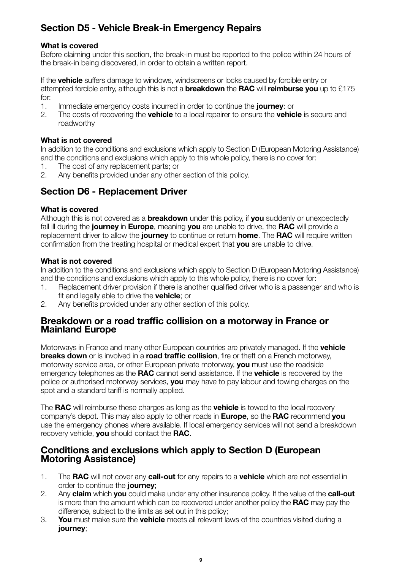## **Section D5 - Vehicle Break-in Emergency Repairs**

#### **What is covered**

Before claiming under this section, the break-in must be reported to the police within 24 hours of the break-in being discovered, in order to obtain a written report.

If the **vehicle** suffers damage to windows, windscreens or locks caused by forcible entry or attempted forcible entry, although this is not a **breakdown** the **RAC** will **reimburse you** up to £175 for:

- 1. Immediate emergency costs incurred in order to continue the **journey**: or
- 2. The costs of recovering the **vehicle** to a local repairer to ensure the **vehicle** is secure and roadworthy

#### **What is not covered**

In addition to the conditions and exclusions which apply to Section D (European Motoring Assistance) and the conditions and exclusions which apply to this whole policy, there is no cover for:

- 1. The cost of any replacement parts; or
- 2. Any benefits provided under any other section of this policy.

## **Section D6 - Replacement Driver**

#### **What is covered**

Although this is not covered as a **breakdown** under this policy, if **you** suddenly or unexpectedly fall ill during the **journey** in **Europe**, meaning **you** are unable to drive, the **RAC** will provide a replacement driver to allow the **journey** to continue or return **home**. The **RAC** will require written confirmation from the treating hospital or medical expert that **you** are unable to drive.

#### **What is not covered**

In addition to the conditions and exclusions which apply to Section D (European Motoring Assistance) and the conditions and exclusions which apply to this whole policy, there is no cover for:

- 1. Replacement driver provision if there is another qualified driver who is a passenger and who is fit and legally able to drive the **vehicle**; or
- 2. Any benefits provided under any other section of this policy.

#### **Breakdown or a road traffic collision on a motorway in France or Mainland Europe**

Motorways in France and many other European countries are privately managed. If the **vehicle breaks down** or is involved in a **road traffic collision**, fire or theft on a French motorway, motorway service area, or other European private motorway, **you** must use the roadside emergency telephones as the **RAC** cannot send assistance. If the **vehicle** is recovered by the police or authorised motorway services, **you** may have to pay labour and towing charges on the spot and a standard tariff is normally applied.

The **RAC** will reimburse these charges as long as the **vehicle** is towed to the local recovery company's depot. This may also apply to other roads in **Europe**, so the **RAC** recommend **you** use the emergency phones where available. If local emergency services will not send a breakdown recovery vehicle, **you** should contact the **RAC**.

#### **Conditions and exclusions which apply to Section D (European Motoring Assistance)**

- 1. The **RAC** will not cover any **call-out** for any repairs to a **vehicle** which are not essential in order to continue the **journey**;
- 2. Any **claim** which **you** could make under any other insurance policy. If the value of the **call-out** is more than the amount which can be recovered under another policy the **RAC** may pay the difference, subject to the limits as set out in this policy;
- 3. **You** must make sure the **vehicle** meets all relevant laws of the countries visited during a **journey**;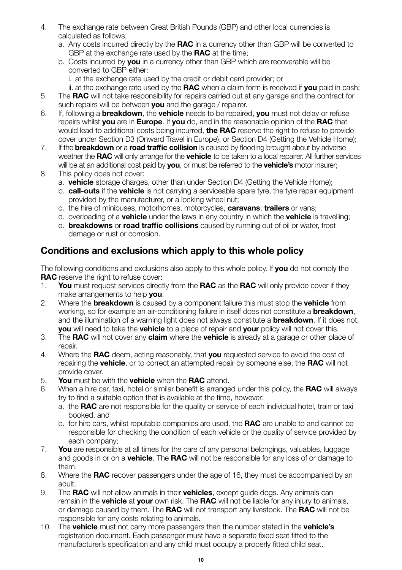- 4. The exchange rate between Great British Pounds (GBP) and other local currencies is calculated as follows:
	- a. Any costs incurred directly by the **RAC** in a currency other than GBP will be converted to GBP at the exchange rate used by the **RAC** at the time;
	- b. Costs incurred by **you** in a currency other than GBP which are recoverable will be converted to GBP either:
		- i. at the exchange rate used by the credit or debit card provider; or
		- ii. at the exchange rate used by the **RAC** when a claim form is received if **you** paid in cash;
- 5. The **RAC** will not take responsibility for repairs carried out at any garage and the contract for such repairs will be between **you** and the garage / repairer.
- 6. If, following a **breakdown**, the **vehicle** needs to be repaired, **you** must not delay or refuse repairs whilst **you** are in **Europe**. If **you** do, and in the reasonable opinion of the **RAC** that would lead to additional costs being incurred, **the RAC** reserve the right to refuse to provide cover under Section D3 (Onward Travel in Europe), or Section D4 (Getting the Vehicle Home);
- 7. If the **breakdown** or a **road traffic collision** is caused by flooding brought about by adverse weather the **RAC** will only arrange for the **vehicle** to be taken to a local repairer. All further services will be at an additional cost paid by **you**, or must be referred to the **vehicle's** motor insurer;
- 8. This policy does not cover:
	- a. **vehicle** storage charges, other than under Section D4 (Getting the Vehicle Home);
	- b. **call-outs** if the **vehicle** is not carrying a serviceable spare tyre, the tyre repair equipment provided by the manufacturer, or a locking wheel nut;
	- c. the hire of minibuses, motorhomes, motorcycles, **caravans**, **trailers** or vans;
	- d. overloading of a **vehicle** under the laws in any country in which the **vehicle** is travelling;
	- e. **breakdowns** or **road traffic collisions** caused by running out of oil or water, frost damage or rust or corrosion.

## **Conditions and exclusions which apply to this whole policy**

The following conditions and exclusions also apply to this whole policy. If **you** do not comply the **RAC** reserve the right to refuse cover:

- 1. **You** must request services directly from the **RAC** as the **RAC** will only provide cover if they make arrangements to help **you**.
- 2. Where the **breakdown** is caused by a component failure this must stop the **vehicle** from working, so for example an air-conditioning failure in itself does not constitute a **breakdown**, and the illumination of a warning light does not always constitute a **breakdown**. If it does not, **you** will need to take the **vehicle** to a place of repair and **your** policy will not cover this.
- 3. The **RAC** will not cover any **claim** where the **vehicle** is already at a garage or other place of repair.
- 4. Where the **RAC** deem, acting reasonably, that **you** requested service to avoid the cost of repairing the **vehicle**, or to correct an attempted repair by someone else, the **RAC** will not provide cover.
- 5. **You** must be with the **vehicle** when the **RAC** attend.
- 6. When a hire car, taxi, hotel or similar benefit is arranged under this policy, the **RAC** will always try to find a suitable option that is available at the time, however:
	- a. the **RAC** are not responsible for the quality or service of each individual hotel, train or taxi booked, and
	- b. for hire cars, whilst reputable companies are used, the **RAC** are unable to and cannot be responsible for checking the condition of each vehicle or the quality of service provided by each company;
- 7. **You** are responsible at all times for the care of any personal belongings, valuables, luggage and goods in or on a **vehicle**. The **RAC** will not be responsible for any loss of or damage to them.
- 8. Where the **RAC** recover passengers under the age of 16, they must be accompanied by an adult.
- 9. The **RAC** will not allow animals in their **vehicles**, except guide dogs. Any animals can remain in the **vehicle** at **your** own risk. The **RAC** will not be liable for any injury to animals, or damage caused by them. The **RAC** will not transport any livestock. The **RAC** will not be responsible for any costs relating to animals.
- 10. The **vehicle** must not carry more passengers than the number stated in the **vehicle's** registration document. Each passenger must have a separate fixed seat fitted to the manufacturer's specification and any child must occupy a properly fitted child seat.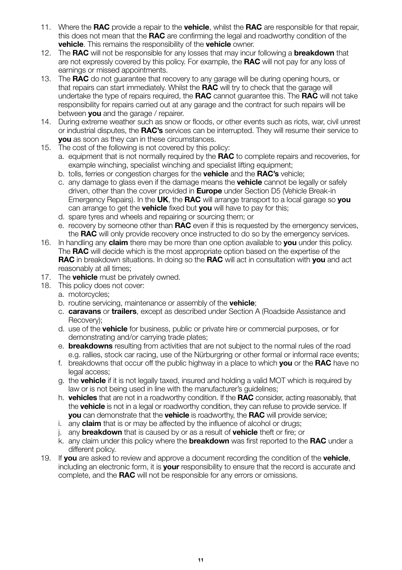- 11. Where the **RAC** provide a repair to the **vehicle**, whilst the **RAC** are responsible for that repair, this does not mean that the **RAC** are confirming the legal and roadworthy condition of the **vehicle**. This remains the responsibility of the **vehicle** owner.
- 12. The **RAC** will not be responsible for any losses that may incur following a **breakdown** that are not expressly covered by this policy. For example, the **RAC** will not pay for any loss of earnings or missed appointments.
- 13. The **RAC** do not guarantee that recovery to any garage will be during opening hours, or that repairs can start immediately. Whilst the **RAC** will try to check that the garage will undertake the type of repairs required, the **RAC** cannot guarantee this. The **RAC** will not take responsibility for repairs carried out at any garage and the contract for such repairs will be between **you** and the garage / repairer.
- 14. During extreme weather such as snow or floods, or other events such as riots, war, civil unrest or industrial disputes, the **RAC's** services can be interrupted. They will resume their service to **you** as soon as they can in these circumstances.
- 15. The cost of the following is not covered by this policy:
	- a. equipment that is not normally required by the **RAC** to complete repairs and recoveries, for example winching, specialist winching and specialist lifting equipment;
	- b. tolls, ferries or congestion charges for the **vehicle** and the **RAC's** vehicle;
	- c. any damage to glass even if the damage means the **vehicle** cannot be legally or safely driven, other than the cover provided in **Europe** under Section D5 (Vehicle Break-in Emergency Repairs). In the **UK**, the **RAC** will arrange transport to a local garage so **you** can arrange to get the **vehicle** fixed but **you** will have to pay for this;
	- d. spare tyres and wheels and repairing or sourcing them; or
	- e. recovery by someone other than **RAC** even if this is requested by the emergency services, the **RAC** will only provide recovery once instructed to do so by the emergency services.
- 16. In handling any **claim** there may be more than one option available to **you** under this policy. The **RAC** will decide which is the most appropriate option based on the expertise of the **RAC** in breakdown situations. In doing so the **RAC** will act in consultation with **you** and act reasonably at all times;
- 17. The **vehicle** must be privately owned.
- 18. This policy does not cover:
	- a. motorcycles;
	- b. routine servicing, maintenance or assembly of the **vehicle**;
	- c. **caravans** or **trailers**, except as described under Section A (Roadside Assistance and Recovery);
	- d. use of the **vehicle** for business, public or private hire or commercial purposes, or for demonstrating and/or carrying trade plates;
	- e. **breakdowns** resulting from activities that are not subject to the normal rules of the road e.g. rallies, stock car racing, use of the Nürburgring or other formal or informal race events;
	- f. breakdowns that occur off the public highway in a place to which **you** or the **RAC** have no legal access;
	- g. the **vehicle** if it is not legally taxed, insured and holding a valid MOT which is required by law or is not being used in line with the manufacturer's guidelines;
	- h. **vehicles** that are not in a roadworthy condition. If the **RAC** consider, acting reasonably, that the **vehicle** is not in a legal or roadworthy condition, they can refuse to provide service. If **you** can demonstrate that the **vehicle** is roadworthy, the **RAC** will provide service;
	- i. any **claim** that is or may be affected by the influence of alcohol or drugs;
	- j. any **breakdown** that is caused by or as a result of **vehicle** theft or fire; or
	- k. any claim under this policy where the **breakdown** was first reported to the **RAC** under a different policy.
- 19. If **you** are asked to review and approve a document recording the condition of the **vehicle**, including an electronic form, it is **your** responsibility to ensure that the record is accurate and complete, and the **RAC** will not be responsible for any errors or omissions.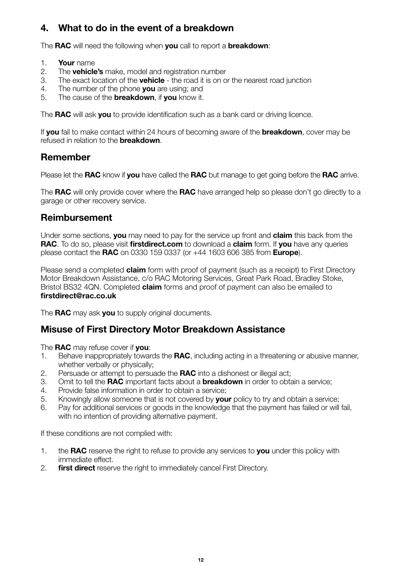## **4. What to do in the event of a breakdown**

The **RAC** will need the following when **you** call to report a **breakdown**:

- 1. **Your** name
- 2. The **vehicle's** make, model and registration number
- 3. The exact location of the **vehicle** the road it is on or the nearest road junction
- 4. The number of the phone **you** are using; and
- 5. The cause of the **breakdown**, if **you** know it.

The **RAC** will ask **you** to provide identification such as a bank card or driving licence.

If **you** fail to make contact within 24 hours of becoming aware of the **breakdown**, cover may be refused in relation to the **breakdown**.

## **Remember**

Please let the **RAC** know if **you** have called the **RAC** but manage to get going before the **RAC** arrive.

The **RAC** will only provide cover where the **RAC** have arranged help so please don't go directly to a garage or other recovery service.

## **Reimbursement**

Under some sections, **you** may need to pay for the service up front and **claim** this back from the **RAC**. To do so, please visit **firstdirect.com** to download a **claim** form. If **you** have any queries please contact the **RAC** on 0330 159 0337 (or +44 1603 606 385 from **Europe**).

Please send a completed **claim** form with proof of payment (such as a receipt) to First Directory Motor Breakdown Assistance, c/o RAC Motoring Services, Great Park Road, Bradley Stoke, Bristol BS32 4QN. Completed **claim** forms and proof of payment can also be emailed to **firstdirect@rac.co.uk**

The **RAC** may ask **you** to supply original documents.

## **Misuse of First Directory Motor Breakdown Assistance**

The **RAC** may refuse cover if **you**:

- 1. Behave inappropriately towards the **RAC**, including acting in a threatening or abusive manner, whether verbally or physically:
- 2. Persuade or attempt to persuade the **RAC** into a dishonest or illegal act;
- 3. Omit to tell the **RAC** important facts about a **breakdown** in order to obtain a service;
- 4. Provide false information in order to obtain a service;
- 5. Knowingly allow someone that is not covered by **your** policy to try and obtain a service;
- 6. Pay for additional services or goods in the knowledge that the payment has failed or will fail, with no intention of providing alternative payment.

If these conditions are not complied with:

- 1. the **RAC** reserve the right to refuse to provide any services to **you** under this policy with immediate effect.
- 2. **first direct** reserve the right to immediately cancel First Directory.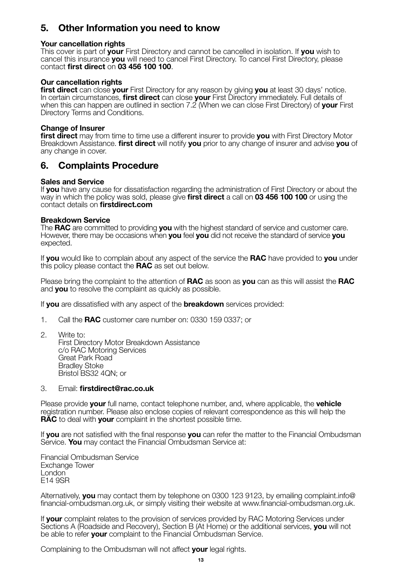## **5. Other Information you need to know**

#### **Your cancellation rights**

This cover is part of **your** First Directory and cannot be cancelled in isolation. If **you** wish to cancel this insurance **you** will need to cancel First Directory. To cancel First Directory, please contact **first direct** on **03 456 100 100**.

#### **Our cancellation rights**

**first direct** can close **your** First Directory for any reason by giving **you** at least 30 days' notice. In certain circumstances, **first direct** can close **your** First Directory immediately. Full details of when this can happen are outlined in section 7.2 (When we can close First Directory) of **your** First Directory Terms and Conditions.

#### **Change of Insurer**

**first direct** may from time to time use a different insurer to provide **you** with First Directory Motor Breakdown Assistance. **first direct** will notify **you** prior to any change of insurer and advise **you** of any change in cover.

## **6. Complaints Procedure**

#### **Sales and Service**

If **you** have any cause for dissatisfaction regarding the administration of First Directory or about the way in which the policy was sold, please give **first direct** a call on **03 456 100 100** or using the contact details on **firstdirect.com**

#### **Breakdown Service**

The **RAC** are committed to providing **you** with the highest standard of service and customer care. However, there may be occasions when **you** feel **you** did not receive the standard of service **you** expected.

If **you** would like to complain about any aspect of the service the **RAC** have provided to **you** under this policy please contact the **RAC** as set out below.

Please bring the complaint to the attention of **RAC** as soon as **you** can as this will assist the **RAC** and **you** to resolve the complaint as quickly as possible.

If **you** are dissatisfied with any aspect of the **breakdown** services provided:

- 1. Call the **RAC** customer care number on: 0330 159 0337; or
- 2. Write to: First Directory Motor Breakdown Assistance c/o RAC Motoring Services Great Park Road Bradley Stoke Bristol BS32 4QN; or

#### 3. Email: **firstdirect@rac.co.uk**

Please provide **your** full name, contact telephone number, and, where applicable, the **vehicle** registration number. Please also enclose copies of relevant correspondence as this will help the **RAC** to deal with **your** complaint in the shortest possible time.

If **you** are not satisfied with the final response **you** can refer the matter to the Financial Ombudsman Service. **You** may contact the Financial Ombudsman Service at:

Financial Ombudsman Service Exchange Tower London<sup>1</sup> E14 9SR

Alternatively, **you** may contact them by telephone on 0300 123 9123, by emailing complaint.info@ financial-ombudsman.org.uk, or simply visiting their website at www.financial-ombudsman.org.uk.

If **your** complaint relates to the provision of services provided by RAC Motoring Services under Sections A (Roadside and Recovery), Section B (At Home) or the additional services, **you** will not be able to refer **your** complaint to the Financial Ombudsman Service.

Complaining to the Ombudsman will not affect **your** legal rights.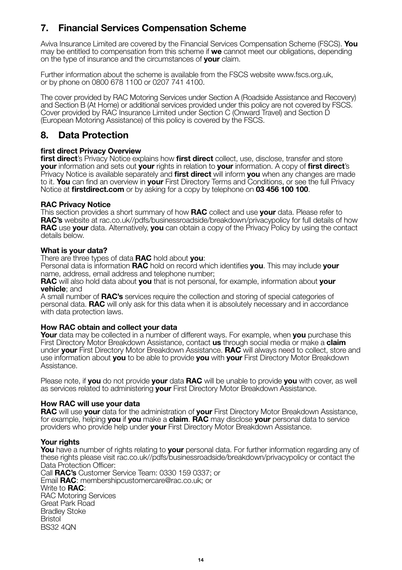## **7. Financial Services Compensation Scheme**

Aviva Insurance Limited are covered by the Financial Services Compensation Scheme (FSCS). **You** may be entitled to compensation from this scheme if **we** cannot meet our obligations, depending on the type of insurance and the circumstances of **your** claim.

Further information about the scheme is available from the FSCS website www.fscs.org.uk, or by phone on 0800 678 1100 or 0207 741 4100.

The cover provided by RAC Motoring Services under Section A (Roadside Assistance and Recovery) and Section B (At Home) or additional services provided under this policy are not covered by FSCS. Cover provided by RAC Insurance Limited under Section C (Onward Travel) and Section D (European Motoring Assistance) of this policy is covered by the FSCS.

## **8. Data Protection**

#### **first direct Privacy Overview**

**first direct**'s Privacy Notice explains how **first direct** collect, use, disclose, transfer and store **your** information and sets out **your** rights in relation to **your** information. A copy of **first direct**'s Privacy Notice is available separately and **first direct** will inform **you** when any changes are made to it. **You** can find an overview in **your** First Directory Terms and Conditions, or see the full Privacy Notice at **firstdirect.com** or by asking for a copy by telephone on **03 456 100 100**.

#### **RAC Privacy Notice**

This section provides a short summary of how **RAC** collect and use **your** data. Please refer to **RAC's** website at rac.co.uk//pdfs/businessroadside/breakdown/privacypolicy for full details of how **RAC** use **your** data. Alternatively, **you** can obtain a copy of the Privacy Policy by using the contact details below.

#### **What is your data?**

There are three types of data **RAC** hold about **you**:

Personal data is information **RAC** hold on record which identifies **you**. This may include **your** name, address, email address and telephone number;

**RAC** will also hold data about **you** that is not personal, for example, information about **your vehicle**; and

A small number of **RAC's** services require the collection and storing of special categories of personal data. **RAC** will only ask for this data when it is absolutely necessary and in accordance with data protection laws.

#### **How RAC obtain and collect your data**

**Your** data may be collected in a number of different ways. For example, when **you** purchase this First Directory Motor Breakdown Assistance, contact **us** through social media or make a **claim** under **your** First Directory Motor Breakdown Assistance. **RAC** will always need to collect, store and use information about **you** to be able to provide **you** with **your** First Directory Motor Breakdown Assistance.

Please note, if **you** do not provide **your** data **RAC** will be unable to provide **you** with cover, as well as services related to administering **your** First Directory Motor Breakdown Assistance.

#### **How RAC will use your data**

**RAC** will use **your** data for the administration of **your** First Directory Motor Breakdown Assistance, for example, helping **you** if **you** make a **claim**. **RAC** may disclose **your** personal data to service providers who provide help under **your** First Directory Motor Breakdown Assistance.

#### **Your rights**

**You** have a number of rights relating to **your** personal data. For further information regarding any of these rights please visit rac.co.uk//pdfs/businessroadside/breakdown/privacypolicy or contact the Data Protection Officer: Call **RAC's** Customer Service Team: 0330 159 0337; or Email **RAC**: membershipcustomercare@rac.co.uk; or Write to **RAC**: RAC Motoring Services Great Park Road Bradley Stoke Bristol **BS32 40N**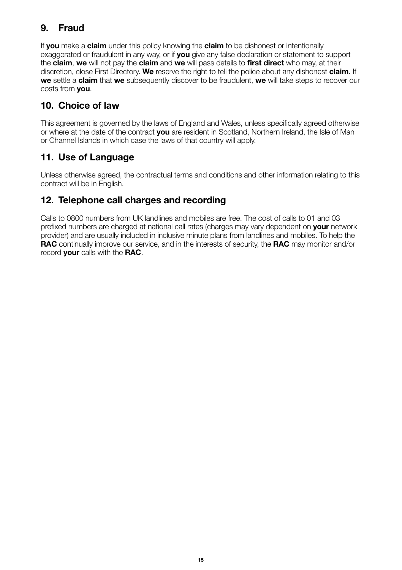## **9. Fraud**

If **you** make a **claim** under this policy knowing the **claim** to be dishonest or intentionally exaggerated or fraudulent in any way, or if **you** give any false declaration or statement to support the **claim**, **we** will not pay the **claim** and **we** will pass details to **first direct** who may, at their discretion, close First Directory. **We** reserve the right to tell the police about any dishonest **claim**. If **we** settle a **claim** that **we** subsequently discover to be fraudulent, **we** will take steps to recover our costs from **you**.

## **10. Choice of law**

This agreement is governed by the laws of England and Wales, unless specifically agreed otherwise or where at the date of the contract **you** are resident in Scotland, Northern Ireland, the Isle of Man or Channel Islands in which case the laws of that country will apply.

## **11. Use of Language**

Unless otherwise agreed, the contractual terms and conditions and other information relating to this contract will be in English.

## **12. Telephone call charges and recording**

Calls to 0800 numbers from UK landlines and mobiles are free. The cost of calls to 01 and 03 prefixed numbers are charged at national call rates (charges may vary dependent on **your** network provider) and are usually included in inclusive minute plans from landlines and mobiles. To help the **RAC** continually improve our service, and in the interests of security, the **RAC** may monitor and/or record **your** calls with the **RAC**.